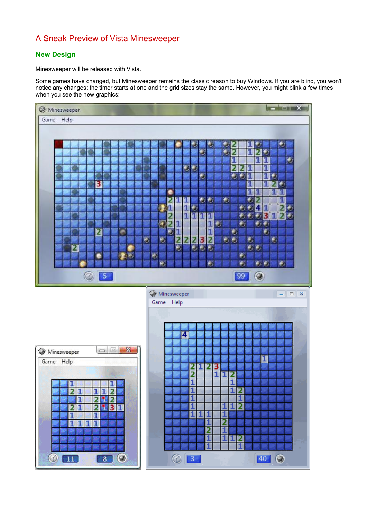# A Sneak Preview of Vista Minesweeper

# **New Design**

Minesweeper will be released with Vista.

Some games have changed, but Minesweeper remains the classic reason to buy Windows. If you are blind, you won't notice any changes: the timer starts at one and the grid sizes stay the same. However, you might blink a few times when you see the new graphics: